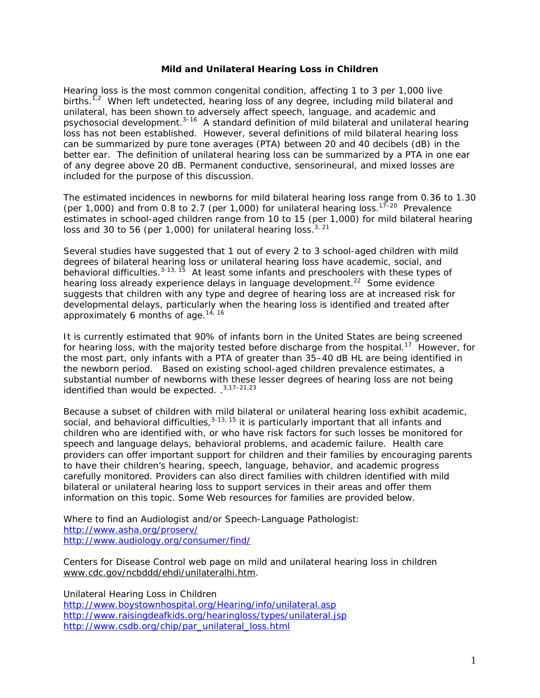## **Mild and Unilateral Hearing Loss in Children**

Hearing loss is the most common congenital condition, affecting 1 to 3 per 1,000 live births.<sup>1,2</sup> When left undetected, hearing loss of any degree, including mild bilateral and unilateral, has been shown to adversely affect speech, language, and academic and psychosocial development. $3-16$  A standard definition of mild bilateral and unilateral hearing loss has not been established. However, several definitions of mild bilateral hearing loss can be summarized by pure tone averages (PTA) between 20 and 40 decibels (dB) in the better ear. The definition of unilateral hearing loss can be summarized by a PTA in one ear of any degree above 20 dB. Permanent conductive, sensorineural, and mixed losses are included for the purpose of this discussion.

The estimated incidences in newborns for mild bilateral hearing loss range from 0.36 to 1.30 (per 1,000) and from 0.8 to 2.7 (per 1,000) for unilateral hearing loss.<sup>17-20</sup> Prevalence estimates in school-aged children range from 10 to 15 (per 1,000) for mild bilateral hearing loss and 30 to 56 (per 1,000) for unilateral hearing loss.<sup>3, 21</sup>

Several studies have suggested that 1 out of every 2 to 3 school-aged children with mild degrees of bilateral hearing loss or unilateral hearing loss have academic, social, and behavioral difficulties.  $3-13$ ,  $15$  At least some infants and preschoolers with these types of hearing loss already experience delays in language development.<sup>22</sup> Some evidence suggests that children with any type and degree of hearing loss are at increased risk for developmental delays, particularly when the hearing loss is identified and treated after approximately 6 months of age. $14, 16$ 

It is currently estimated that 90% of infants born in the United States are being screened for hearing loss, with the majority tested before discharge from the hospital.<sup>17</sup> However, for the most part, only infants with a PTA of greater than 35–40 dB HL are being identified in the newborn period. Based on existing school-aged children prevalence estimates, a substantial number of newborns with these lesser degrees of hearing loss are not being identified than would be expected. . 3,17-21,23

Because a subset of children with mild bilateral or unilateral hearing loss exhibit academic, social, and behavioral difficulties,  $3-13$ ,  $15$  it is particularly important that all infants and children who are identified with, or who have risk factors for such losses be monitored for speech and language delays, behavioral problems, and academic failure. Health care providers can offer important support for children and their families by encouraging parents to have their children's hearing, speech, language, behavior, and academic progress carefully monitored. Providers can also direct families with children identified with mild bilateral or unilateral hearing loss to support services in their areas and offer them information on this topic. Some Web resources for families are provided below.

Where to find an Audiologist and/or Speech-Language Pathologist: <http://www.asha.org/proserv/> <http://www.audiology.org/consumer/find/>

Centers for Disease Control web page on mild and unilateral hearing loss in children [www.cdc.gov/ncbddd/ehdi/unilateralhi.htm.](http://www.cdc.gov/ncbddd/ehdi/unilateralhi.htm)

Unilateral Hearing Loss in Children <http://www.boystownhospital.org/Hearing/info/unilateral.asp> <http://www.raisingdeafkids.org/hearingloss/types/unilateral.jsp> [http://www.csdb.org/chip/par\\_unilateral\\_loss.html](http://www.csdb.org/chip/par_unilateral_loss.html)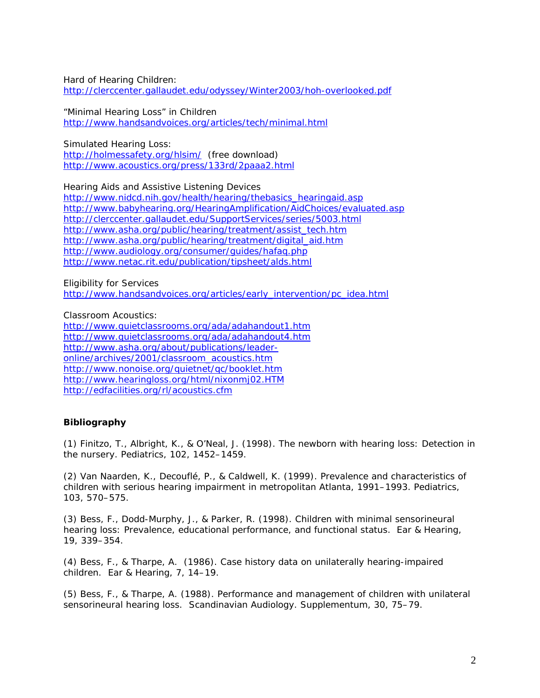Hard of Hearing Children: <http://clerccenter.gallaudet.edu/odyssey/Winter2003/hoh-overlooked.pdf>

"Minimal Hearing Loss" in Children <http://www.handsandvoices.org/articles/tech/minimal.html>

Simulated Hearing Loss:

<http://holmessafety.org/hlsim/>(free download) <http://www.acoustics.org/press/133rd/2paaa2.html>

Hearing Aids and Assistive Listening Devices [http://www.nidcd.nih.gov/health/hearing/thebasics\\_hearingaid.asp](http://www.nidcd.nih.gov/health/hearing/thebasics_hearingaid.asp) <http://www.babyhearing.org/HearingAmplification/AidChoices/evaluated.asp> <http://clerccenter.gallaudet.edu/SupportServices/series/5003.html> [http://www.asha.org/public/hearing/treatment/assist\\_tech.htm](http://www.asha.org/public/hearing/treatment/assist_tech.htm) [http://www.asha.org/public/hearing/treatment/digital\\_aid.htm](http://www.asha.org/public/hearing/treatment/digital_aid.htm) <http://www.audiology.org/consumer/guides/hafaq.php> <http://www.netac.rit.edu/publication/tipsheet/alds.html>

Eligibility for Services [http://www.handsandvoices.org/articles/early\\_intervention/pc\\_idea.html](http://www.handsandvoices.org/articles/early_intervention/pc_idea.html)

Classroom Acoustics:

<http://www.quietclassrooms.org/ada/adahandout1.htm> <http://www.quietclassrooms.org/ada/adahandout4.htm> [http://www.asha.org/about/publications/leader](http://www.asha.org/about/publications/leader-online/archives/2001/classroom_acoustics.htm)[online/archives/2001/classroom\\_acoustics.htm](http://www.asha.org/about/publications/leader-online/archives/2001/classroom_acoustics.htm) <http://www.nonoise.org/quietnet/qc/booklet.htm> <http://www.hearingloss.org/html/nixonmj02.HTM> <http://edfacilities.org/rl/acoustics.cfm>

## **Bibliography**

(1) Finitzo, T., Albright, K., & O'Neal, J. (1998). The newborn with hearing loss: Detection in the nursery. *Pediatrics, 102,* 1452–1459.

(2) Van Naarden, K., Decouflé, P., & Caldwell, K. (1999). Prevalence and characteristics of children with serious hearing impairment in metropolitan Atlanta, 1991–1993. *Pediatrics, 103,* 570–575.

(3) Bess, F., Dodd-Murphy, J., & Parker, R. (1998). Children with minimal sensorineural hearing loss: Prevalence, educational performance, and functional status. *Ear & Hearing, 19*, 339–354.

(4) Bess, F., & Tharpe, A. (1986). Case history data on unilaterally hearing-impaired children. *Ear & Hearing, 7,* 14–19.

(5) Bess, F., & Tharpe, A. (1988). Performance and management of children with unilateral sensorineural hearing loss. *Scandinavian Audiology. Supplementum, 30,* 75–79.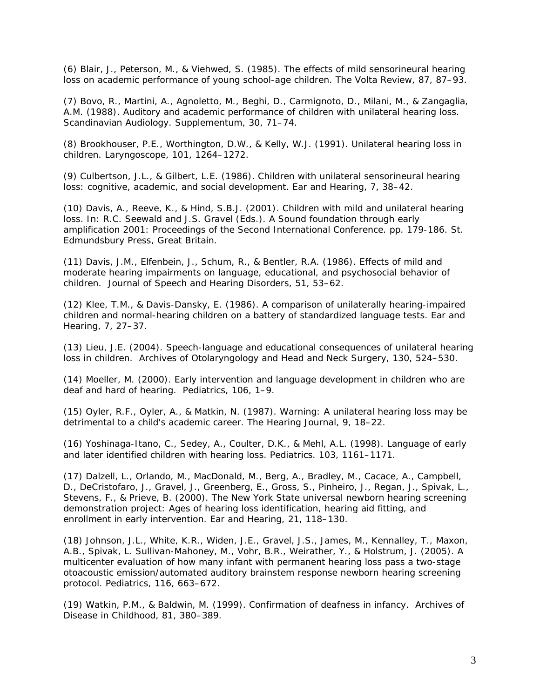(6) Blair, J., Peterson, M., & Viehwed, S. (1985). The effects of mild sensorineural hearing loss on academic performance of young school-age children. *The Volta Review*, *87,* 87–93.

(7) Bovo, R., Martini, A., Agnoletto, M., Beghi, D., Carmignoto, D., Milani, M., & Zangaglia, A.M. (1988). Auditory and academic performance of children with unilateral hearing loss. *Scandinavian Audiology. Supplementum, 30,* 71–74.

(8) Brookhouser, P.E., Worthington, D.W., & Kelly, W.J. (1991). Unilateral hearing loss in children. *Laryngoscope, 101,* 1264–1272.

(9) Culbertson, J.L., & Gilbert, L.E. (1986). Children with unilateral sensorineural hearing loss: cognitive, academic, and social development. *Ear and Hearing, 7,* 38–42.

(10) Davis, A., Reeve, K., & Hind, S.B.J. (2001). Children with mild and unilateral hearing loss. In: R.C. Seewald and J.S. Gravel (Eds.). A Sound foundation through early amplification 2001: *Proceedings of the Second International Conference*. pp. 179-186. St. Edmundsbury Press, Great Britain.

(11) Davis, J.M., Elfenbein, J., Schum, R., & Bentler, R.A. (1986). Effects of mild and moderate hearing impairments on language, educational, and psychosocial behavior of children. *Journal of Speech and Hearing Disorders, 51*, 53–62.

(12) Klee, T.M., & Davis-Dansky, E. (1986). A comparison of unilaterally hearing-impaired children and normal-hearing children on a battery of standardized language tests. *Ear and Hearing, 7,* 27–37.

(13) Lieu, J.E. (2004). Speech-language and educational consequences of unilateral hearing loss in children. *Archives of Otolaryngology and Head and Neck Surgery, 130*, 524–530.

(14) Moeller, M. (2000). Early intervention and language development in children who are deaf and hard of hearing. *Pediatrics, 106*, 1–9.

(15) Oyler, R.F., Oyler, A., & Matkin, N. (1987). Warning: A unilateral hearing loss may be detrimental to a child's academic career. *The Hearing Journal, 9*, 18–22.

(16) Yoshinaga-Itano, C., Sedey, A., Coulter, D.K., & Mehl, A.L. (1998). Language of early and later identified children with hearing loss. *Pediatrics. 103*, 1161–1171.

(17) [Dalzell, L](http://www.ncbi.nlm.nih.gov/entrez/query.fcgi?db=PubMed&cmd=Search&itool=PubMed_Abstract&term=%22Dalzell+L%22%5BAuthor%5D)., [Orlando, M](http://www.ncbi.nlm.nih.gov/entrez/query.fcgi?db=PubMed&cmd=Search&itool=PubMed_Abstract&term=%22Orlando+M%22%5BAuthor%5D)., [MacDonald, M](http://www.ncbi.nlm.nih.gov/entrez/query.fcgi?db=PubMed&cmd=Search&itool=PubMed_Abstract&term=%22MacDonald+M%22%5BAuthor%5D)., [Berg, A](http://www.ncbi.nlm.nih.gov/entrez/query.fcgi?db=PubMed&cmd=Search&itool=PubMed_Abstract&term=%22Berg+A%22%5BAuthor%5D)., [Bradley, M.](http://www.ncbi.nlm.nih.gov/entrez/query.fcgi?db=PubMed&cmd=Search&itool=PubMed_Abstract&term=%22Bradley+M%22%5BAuthor%5D), [Cacace, A.](http://www.ncbi.nlm.nih.gov/entrez/query.fcgi?db=PubMed&cmd=Search&itool=PubMed_Abstract&term=%22Cacace+A%22%5BAuthor%5D), [Campbell,](http://www.ncbi.nlm.nih.gov/entrez/query.fcgi?db=PubMed&cmd=Search&itool=PubMed_Abstract&term=%22Campbell+D%22%5BAuthor%5D)  [D.](http://www.ncbi.nlm.nih.gov/entrez/query.fcgi?db=PubMed&cmd=Search&itool=PubMed_Abstract&term=%22Campbell+D%22%5BAuthor%5D), [DeCristofaro, J.](http://www.ncbi.nlm.nih.gov/entrez/query.fcgi?db=PubMed&cmd=Search&itool=PubMed_Abstract&term=%22DeCristofaro+J%22%5BAuthor%5D), [Gravel, J](http://www.ncbi.nlm.nih.gov/entrez/query.fcgi?db=PubMed&cmd=Search&itool=PubMed_Abstract&term=%22Gravel+J%22%5BAuthor%5D)., [Greenberg, E](http://www.ncbi.nlm.nih.gov/entrez/query.fcgi?db=PubMed&cmd=Search&itool=PubMed_Abstract&term=%22Greenberg+E%22%5BAuthor%5D)., [Gross, S.](http://www.ncbi.nlm.nih.gov/entrez/query.fcgi?db=PubMed&cmd=Search&itool=PubMed_Abstract&term=%22Gross+S%22%5BAuthor%5D), [Pinheiro, J.](http://www.ncbi.nlm.nih.gov/entrez/query.fcgi?db=PubMed&cmd=Search&itool=PubMed_Abstract&term=%22Pinheiro+J%22%5BAuthor%5D), [Regan, J](http://www.ncbi.nlm.nih.gov/entrez/query.fcgi?db=PubMed&cmd=Search&itool=PubMed_Abstract&term=%22Regan+J%22%5BAuthor%5D)., [Spivak, L.](http://www.ncbi.nlm.nih.gov/entrez/query.fcgi?db=PubMed&cmd=Search&itool=PubMed_Abstract&term=%22Spivak+L%22%5BAuthor%5D), [Stevens, F](http://www.ncbi.nlm.nih.gov/entrez/query.fcgi?db=PubMed&cmd=Search&itool=PubMed_Abstract&term=%22Stevens+F%22%5BAuthor%5D)., & [Prieve, B.](http://www.ncbi.nlm.nih.gov/entrez/query.fcgi?db=PubMed&cmd=Search&itool=PubMed_Abstract&term=%22Prieve+B%22%5BAuthor%5D) (2000). The New York State universal newborn hearing screening demonstration project: Ages of hearing loss identification, hearing aid fitting, and enrollment in early intervention. *Ear and Hearing, 21,* 118–130.

(18) Johnson, J.L., White, K.R., Widen, J.E., Gravel, J.S., James, M., Kennalley, T., Maxon, A.B., Spivak, L. Sullivan-Mahoney, M., Vohr, B.R., Weirather, Y., & Holstrum, J. (2005). A multicenter evaluation of how many infant with permanent hearing loss pass a two-stage otoacoustic emission/automated auditory brainstem response newborn hearing screening protocol. *Pediatrics, 116,* 663–672.

(19) Watkin, P.M., & Baldwin, M. (1999). Confirmation of deafness in infancy. *Archives of Disease in Childhood, 81*, 380–389.